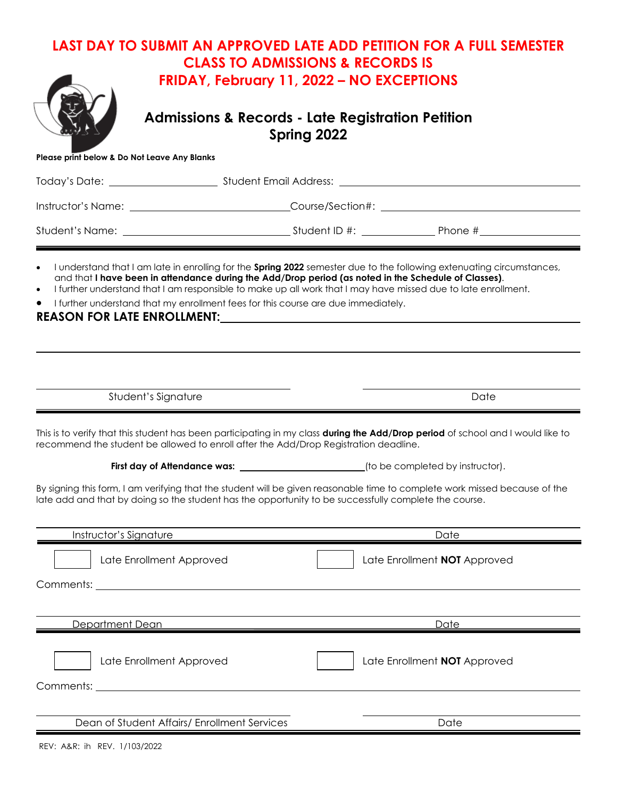## **LAST DAY TO SUBMIT AN APPROVED LATE ADD PETITION FOR A FULL SEMESTER CLASS TO ADMISSIONS & RECORDS IS FRIDAY, February 11, 2022 – NO EXCEPTIONS**



**Admissions & Records - Late Registration Petition Spring 2022** 

|  |  | Please print below & Do Not Leave Any Blanks |
|--|--|----------------------------------------------|

| I understand that I am late in enrolling for the Spring 2022 semester due to the following extenuating circumstances,<br>$\bullet$<br>and that I have been in attendance during the Add/Drop period (as noted in the Schedule of Classes).<br>I further understand that I am responsible to make up all work that I may have missed due to late enrollment.<br>$\bullet$<br>I further understand that my enrollment fees for this course are due immediately.<br>$\bullet$<br>REASON FOR LATE ENROLLMENT: THE REASON FOR LATE ENROLLMENT: |                                                                                            |  |  |                              |  |  |
|-------------------------------------------------------------------------------------------------------------------------------------------------------------------------------------------------------------------------------------------------------------------------------------------------------------------------------------------------------------------------------------------------------------------------------------------------------------------------------------------------------------------------------------------|--------------------------------------------------------------------------------------------|--|--|------------------------------|--|--|
| Student's Signature                                                                                                                                                                                                                                                                                                                                                                                                                                                                                                                       |                                                                                            |  |  | Date                         |  |  |
| This is to verify that this student has been participating in my class during the Add/Drop period of school and I would like to<br>recommend the student be allowed to enroll after the Add/Drop Registration deadline.                                                                                                                                                                                                                                                                                                                   |                                                                                            |  |  |                              |  |  |
|                                                                                                                                                                                                                                                                                                                                                                                                                                                                                                                                           | First day of Attendance was: _____________________________(to be completed by instructor). |  |  |                              |  |  |
| By signing this form, I am verifying that the student will be given reasonable time to complete work missed because of the<br>late add and that by doing so the student has the opportunity to be successfully complete the course.                                                                                                                                                                                                                                                                                                       |                                                                                            |  |  |                              |  |  |
| Instructor's Signature                                                                                                                                                                                                                                                                                                                                                                                                                                                                                                                    |                                                                                            |  |  | Date                         |  |  |
| Late Enrollment Approved<br>Comments: Executive Comments: Executive Comments:                                                                                                                                                                                                                                                                                                                                                                                                                                                             |                                                                                            |  |  | Late Enrollment NOT Approved |  |  |
|                                                                                                                                                                                                                                                                                                                                                                                                                                                                                                                                           |                                                                                            |  |  |                              |  |  |
| Department Dean                                                                                                                                                                                                                                                                                                                                                                                                                                                                                                                           |                                                                                            |  |  | <u>Date</u>                  |  |  |
| Late Enrollment Approved                                                                                                                                                                                                                                                                                                                                                                                                                                                                                                                  |                                                                                            |  |  | Late Enrollment NOT Approved |  |  |
|                                                                                                                                                                                                                                                                                                                                                                                                                                                                                                                                           |                                                                                            |  |  |                              |  |  |

Dean of Student Affairs/ Enrollment Services and Date Date

REV: A&R: ih REV. 1/103/2022